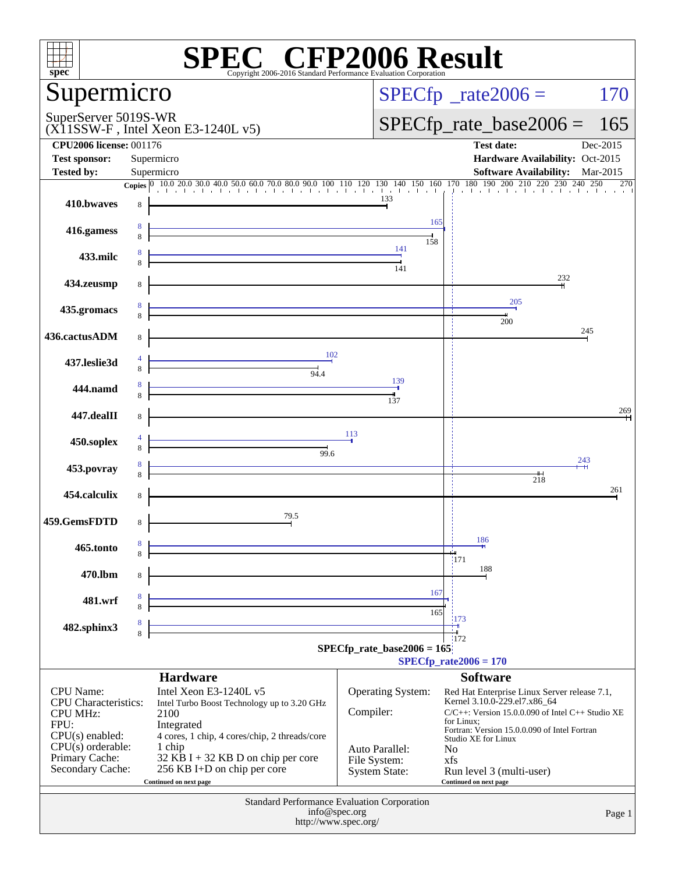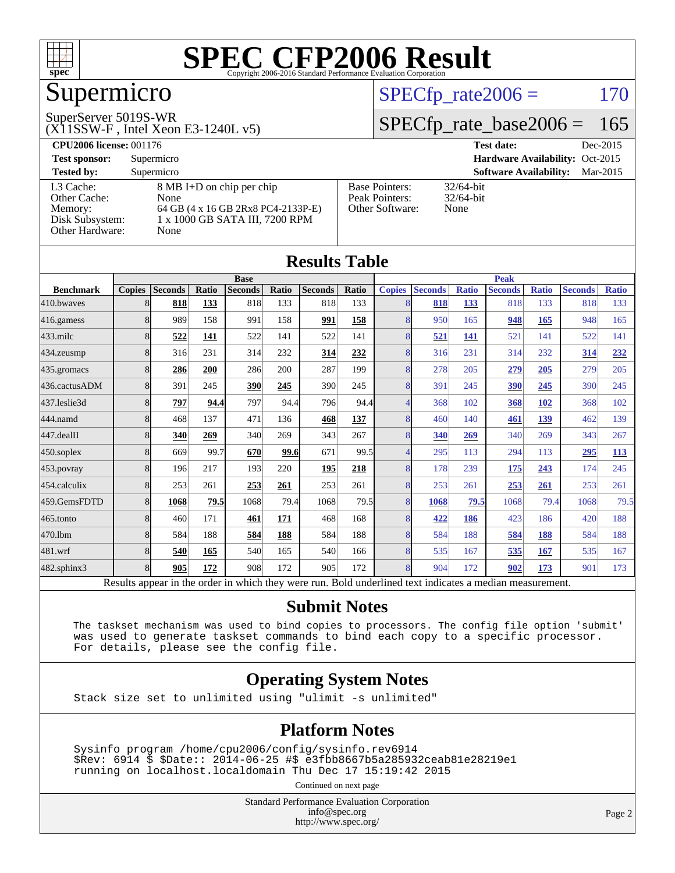

## Supermicro

#### SuperServer 5019S-WR

(X11SSW-F , Intel Xeon E3-1240L v5)

#### $SPECTp_rate2006 = 170$

#### [SPECfp\\_rate\\_base2006 =](http://www.spec.org/auto/cpu2006/Docs/result-fields.html#SPECfpratebase2006) 165

| <b>CPU2006 license: 001176</b> |                                    |                       | Dec-2015<br><b>Test date:</b>             |
|--------------------------------|------------------------------------|-----------------------|-------------------------------------------|
| <b>Test sponsor:</b>           | Supermicro                         |                       | Hardware Availability: Oct-2015           |
| <b>Tested by:</b>              | Supermicro                         |                       | <b>Software Availability:</b><br>Mar-2015 |
| L3 Cache:                      | 8 MB I+D on chip per chip          | <b>Base Pointers:</b> | $32/64$ -bit                              |
| Other Cache:                   | None                               | Peak Pointers:        | $32/64$ -bit                              |
| Memory:                        | 64 GB (4 x 16 GB 2Rx8 PC4-2133P-E) | Other Software:       | None                                      |
| Disk Subsystem:                | 1 x 1000 GB SATA III, 7200 RPM     |                       |                                           |
| Other Hardware:                | None                               |                       |                                           |

|                   |               |                                                                                                          |       |                |       | <b>Results Table</b> |             |               |                |              |                |              |                |              |
|-------------------|---------------|----------------------------------------------------------------------------------------------------------|-------|----------------|-------|----------------------|-------------|---------------|----------------|--------------|----------------|--------------|----------------|--------------|
|                   | <b>Base</b>   |                                                                                                          |       |                |       |                      | <b>Peak</b> |               |                |              |                |              |                |              |
| <b>Benchmark</b>  | <b>Copies</b> | <b>Seconds</b>                                                                                           | Ratio | <b>Seconds</b> | Ratio | <b>Seconds</b>       | Ratio       | <b>Copies</b> | <b>Seconds</b> | <b>Ratio</b> | <b>Seconds</b> | <b>Ratio</b> | <b>Seconds</b> | <b>Ratio</b> |
| 410.bwayes        | 8             | 818                                                                                                      | 133   | 818            | 133   | 818                  | 133         | 8             | 818            | 133          | 818            | 133          | 818            | 133          |
| 416.gamess        | 8             | 989                                                                                                      | 158   | 991            | 158   | 991                  | 158         | 8             | 950            | 165          | 948            | 165          | 948            | 165          |
| $433$ .milc       | 8             | 522                                                                                                      | 141   | 522            | 141   | 522                  | 141         | 8             | 521            | 141          | 521            | 141          | 522            | 141          |
| 434.zeusmp        | 8             | 316                                                                                                      | 231   | 314            | 232   | 314                  | 232         | 8             | 316            | 231          | 314            | 232          | 314            | 232          |
| 435.gromacs       | 8             | 286                                                                                                      | 200   | 286            | 200   | 287                  | 199         | 8             | 278            | 205          | 279            | 205          | 279            | 205          |
| 436.cactusADM     | 8             | 391                                                                                                      | 245   | 390            | 245   | 390                  | 245         | 8             | 391            | 245          | 390            | 245          | 390            | 245          |
| 437.leslie3d      | 8             | 797                                                                                                      | 94.4  | 797            | 94.4  | 796                  | 94.4        | Δ             | 368            | 102          | 368            | 102          | 368            | 102          |
| 444.namd          | 8             | 468                                                                                                      | 137   | 471            | 136   | 468                  | 137         | 8             | 460            | 140          | 461            | 139          | 462            | 139          |
| 447.dealII        | 8             | 340                                                                                                      | 269   | 340            | 269   | 343                  | 267         | 8             | 340            | 269          | 340            | 269          | 343            | 267          |
| $450$ .soplex     | 8             | 669                                                                                                      | 99.7  | 670            | 99.6  | 671                  | 99.5        | 4             | 295            | 113          | 294            | 113          | 295            | 113          |
| 453.povray        | 8             | 196                                                                                                      | 217   | 193            | 220   | 195                  | 218         | 8             | 178            | 239          | 175            | 243          | 174            | 245          |
| 454.calculix      | 8             | 253                                                                                                      | 261   | 253            | 261   | 253                  | 261         | 8             | 253            | 261          | 253            | 261          | 253            | 261          |
| 459.GemsFDTD      | 8             | 1068                                                                                                     | 79.5  | 1068           | 79.4  | 1068                 | 79.5        | 8             | 1068           | 79.5         | 1068           | 79.4         | 1068           | 79.5         |
| 465.tonto         | 8             | 460                                                                                                      | 171   | 461            | 171   | 468                  | 168         | 8             | 422            | 186          | 423            | 186          | 420            | 188          |
| 470.1bm           | 8             | 584                                                                                                      | 188   | 584            | 188   | 584                  | 188         | 8             | 584            | 188          | 584            | 188          | 584            | 188          |
| 481.wrf           | 8             | 540                                                                                                      | 165   | 540            | 165   | 540                  | 166         | 8             | 535            | 167          | 535            | 167          | 535            | 167          |
| $482$ .sphinx $3$ | 8             | 905                                                                                                      | 172   | 908            | 172   | 905                  | 172         | 8             | 904            | 172          | 902            | 173          | 901            | 173          |
|                   |               | Results appear in the order in which they were run. Bold underlined text indicates a median measurement. |       |                |       |                      |             |               |                |              |                |              |                |              |

#### **[Submit Notes](http://www.spec.org/auto/cpu2006/Docs/result-fields.html#SubmitNotes)**

 The taskset mechanism was used to bind copies to processors. The config file option 'submit' was used to generate taskset commands to bind each copy to a specific processor. For details, please see the config file.

#### **[Operating System Notes](http://www.spec.org/auto/cpu2006/Docs/result-fields.html#OperatingSystemNotes)**

Stack size set to unlimited using "ulimit -s unlimited"

#### **[Platform Notes](http://www.spec.org/auto/cpu2006/Docs/result-fields.html#PlatformNotes)**

 Sysinfo program /home/cpu2006/config/sysinfo.rev6914 \$Rev: 6914 \$ \$Date:: 2014-06-25 #\$ e3fbb8667b5a285932ceab81e28219e1 running on localhost.localdomain Thu Dec 17 15:19:42 2015

Continued on next page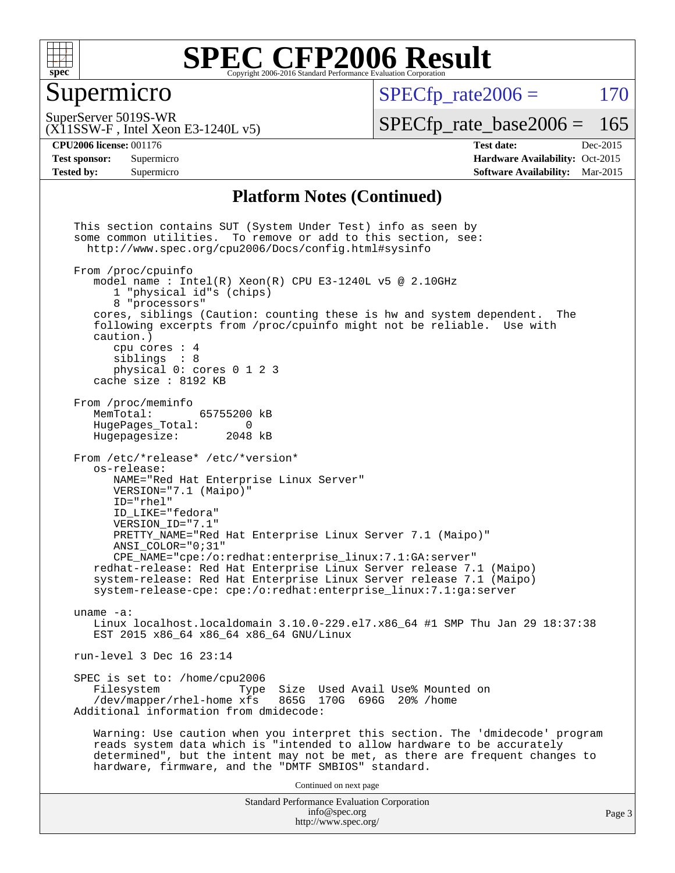

#### Supermicro

 $SPECTp\_rate2006 = 170$ 

SuperServer 5019S-WR

[SPECfp\\_rate\\_base2006 =](http://www.spec.org/auto/cpu2006/Docs/result-fields.html#SPECfpratebase2006) 165

(X11SSW-F , Intel Xeon E3-1240L v5)

**[CPU2006 license:](http://www.spec.org/auto/cpu2006/Docs/result-fields.html#CPU2006license)** 001176 **[Test date:](http://www.spec.org/auto/cpu2006/Docs/result-fields.html#Testdate)** Dec-2015 **[Test sponsor:](http://www.spec.org/auto/cpu2006/Docs/result-fields.html#Testsponsor)** Supermicro Supermicro **[Hardware Availability:](http://www.spec.org/auto/cpu2006/Docs/result-fields.html#HardwareAvailability)** Oct-2015 **[Tested by:](http://www.spec.org/auto/cpu2006/Docs/result-fields.html#Testedby)** Supermicro **Supermicro [Software Availability:](http://www.spec.org/auto/cpu2006/Docs/result-fields.html#SoftwareAvailability)** Mar-2015

#### **[Platform Notes \(Continued\)](http://www.spec.org/auto/cpu2006/Docs/result-fields.html#PlatformNotes)**

Standard Performance Evaluation Corporation [info@spec.org](mailto:info@spec.org) <http://www.spec.org/> This section contains SUT (System Under Test) info as seen by some common utilities. To remove or add to this section, see: <http://www.spec.org/cpu2006/Docs/config.html#sysinfo> From /proc/cpuinfo model name : Intel(R) Xeon(R) CPU E3-1240L v5 @ 2.10GHz 1 "physical id"s (chips) 8 "processors" cores, siblings (Caution: counting these is hw and system dependent. The following excerpts from /proc/cpuinfo might not be reliable. Use with caution.) cpu cores : 4 siblings : 8 physical 0: cores 0 1 2 3 cache size : 8192 KB From /proc/meminfo MemTotal: 65755200 kB<br>HugePages Total: 0 HugePages\_Total: 0<br>Hugepagesize: 2048 kB Hugepagesize: From /etc/\*release\* /etc/\*version\* os-release: NAME="Red Hat Enterprise Linux Server" VERSION="7.1 (Maipo)" ID="rhel" ID\_LIKE="fedora" VERSION\_ID="7.1" PRETTY\_NAME="Red Hat Enterprise Linux Server 7.1 (Maipo)" ANSI\_COLOR="0;31" CPE\_NAME="cpe:/o:redhat:enterprise\_linux:7.1:GA:server" redhat-release: Red Hat Enterprise Linux Server release 7.1 (Maipo) system-release: Red Hat Enterprise Linux Server release 7.1 (Maipo) system-release-cpe: cpe:/o:redhat:enterprise\_linux:7.1:ga:server uname -a: Linux localhost.localdomain 3.10.0-229.el7.x86\_64 #1 SMP Thu Jan 29 18:37:38 EST 2015 x86\_64 x86\_64 x86\_64 GNU/Linux run-level 3 Dec 16 23:14 SPEC is set to: /home/cpu2006<br>Filesystem Type Type Size Used Avail Use% Mounted on /dev/mapper/rhel-home xfs 865G 170G 696G 20% /home Additional information from dmidecode: Warning: Use caution when you interpret this section. The 'dmidecode' program reads system data which is "intended to allow hardware to be accurately determined", but the intent may not be met, as there are frequent changes to hardware, firmware, and the "DMTF SMBIOS" standard. Continued on next page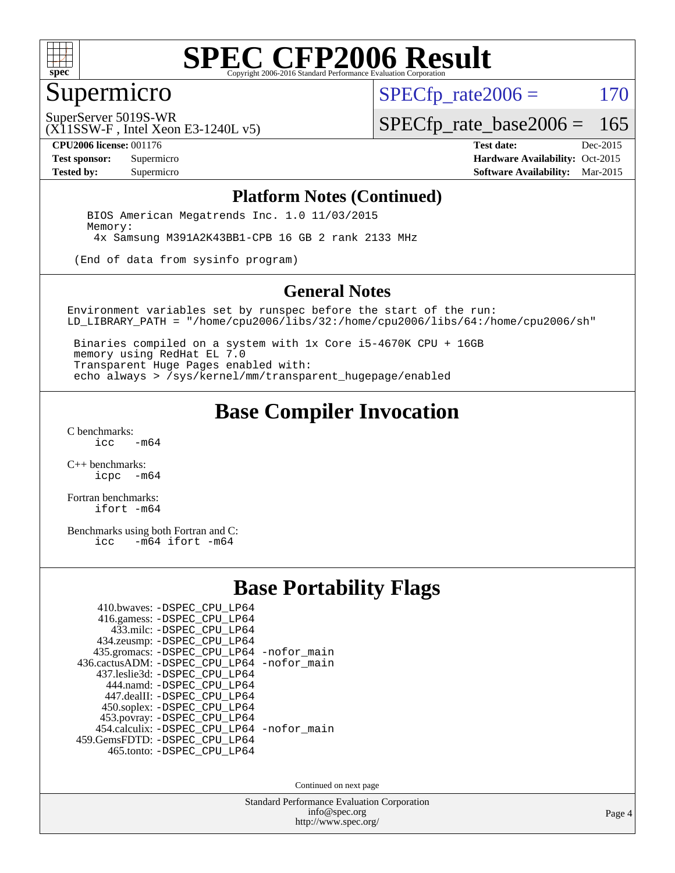

### Supermicro

 $SPECTp\_rate2006 = 170$ 

SuperServer 5019S-WR

[SPECfp\\_rate\\_base2006 =](http://www.spec.org/auto/cpu2006/Docs/result-fields.html#SPECfpratebase2006) 165

(X11SSW-F , Intel Xeon E3-1240L v5)

**[CPU2006 license:](http://www.spec.org/auto/cpu2006/Docs/result-fields.html#CPU2006license)** 001176 **[Test date:](http://www.spec.org/auto/cpu2006/Docs/result-fields.html#Testdate)** Dec-2015 **[Test sponsor:](http://www.spec.org/auto/cpu2006/Docs/result-fields.html#Testsponsor)** Supermicro Supermicro **[Hardware Availability:](http://www.spec.org/auto/cpu2006/Docs/result-fields.html#HardwareAvailability)** Oct-2015 **[Tested by:](http://www.spec.org/auto/cpu2006/Docs/result-fields.html#Testedby)** Supermicro **Supermicro [Software Availability:](http://www.spec.org/auto/cpu2006/Docs/result-fields.html#SoftwareAvailability)** Mar-2015

#### **[Platform Notes \(Continued\)](http://www.spec.org/auto/cpu2006/Docs/result-fields.html#PlatformNotes)**

 BIOS American Megatrends Inc. 1.0 11/03/2015 Memory: 4x Samsung M391A2K43BB1-CPB 16 GB 2 rank 2133 MHz

(End of data from sysinfo program)

#### **[General Notes](http://www.spec.org/auto/cpu2006/Docs/result-fields.html#GeneralNotes)**

Environment variables set by runspec before the start of the run: LD\_LIBRARY\_PATH = "/home/cpu2006/libs/32:/home/cpu2006/libs/64:/home/cpu2006/sh"

 Binaries compiled on a system with 1x Core i5-4670K CPU + 16GB memory using RedHat EL 7.0 Transparent Huge Pages enabled with: echo always > /sys/kernel/mm/transparent\_hugepage/enabled

### **[Base Compiler Invocation](http://www.spec.org/auto/cpu2006/Docs/result-fields.html#BaseCompilerInvocation)**

[C benchmarks](http://www.spec.org/auto/cpu2006/Docs/result-fields.html#Cbenchmarks):  $-m64$ 

[C++ benchmarks:](http://www.spec.org/auto/cpu2006/Docs/result-fields.html#CXXbenchmarks) [icpc -m64](http://www.spec.org/cpu2006/results/res2016q1/cpu2006-20151223-38502.flags.html#user_CXXbase_intel_icpc_64bit_bedb90c1146cab66620883ef4f41a67e)

[Fortran benchmarks](http://www.spec.org/auto/cpu2006/Docs/result-fields.html#Fortranbenchmarks): [ifort -m64](http://www.spec.org/cpu2006/results/res2016q1/cpu2006-20151223-38502.flags.html#user_FCbase_intel_ifort_64bit_ee9d0fb25645d0210d97eb0527dcc06e)

[Benchmarks using both Fortran and C](http://www.spec.org/auto/cpu2006/Docs/result-fields.html#BenchmarksusingbothFortranandC):<br>icc -m64 ifort -m64  $-m64$  ifort  $-m64$ 

#### **[Base Portability Flags](http://www.spec.org/auto/cpu2006/Docs/result-fields.html#BasePortabilityFlags)**

| 410.bwaves: -DSPEC CPU LP64                 |  |
|---------------------------------------------|--|
| 416.gamess: -DSPEC_CPU_LP64                 |  |
| 433.milc: -DSPEC CPU LP64                   |  |
| 434.zeusmp: -DSPEC CPU LP64                 |  |
| 435.gromacs: -DSPEC_CPU_LP64 -nofor_main    |  |
| 436.cactusADM: -DSPEC CPU LP64 -nofor main  |  |
| 437.leslie3d: -DSPEC CPU LP64               |  |
| 444.namd: -DSPEC CPU LP64                   |  |
| 447.dealII: -DSPEC_CPU LP64                 |  |
| 450.soplex: -DSPEC_CPU_LP64                 |  |
| 453.povray: -DSPEC_CPU_LP64                 |  |
| 454.calculix: - DSPEC CPU LP64 - nofor main |  |
| 459. GemsFDTD: - DSPEC CPU LP64             |  |
| 465.tonto: -DSPEC_CPU_LP64                  |  |

Continued on next page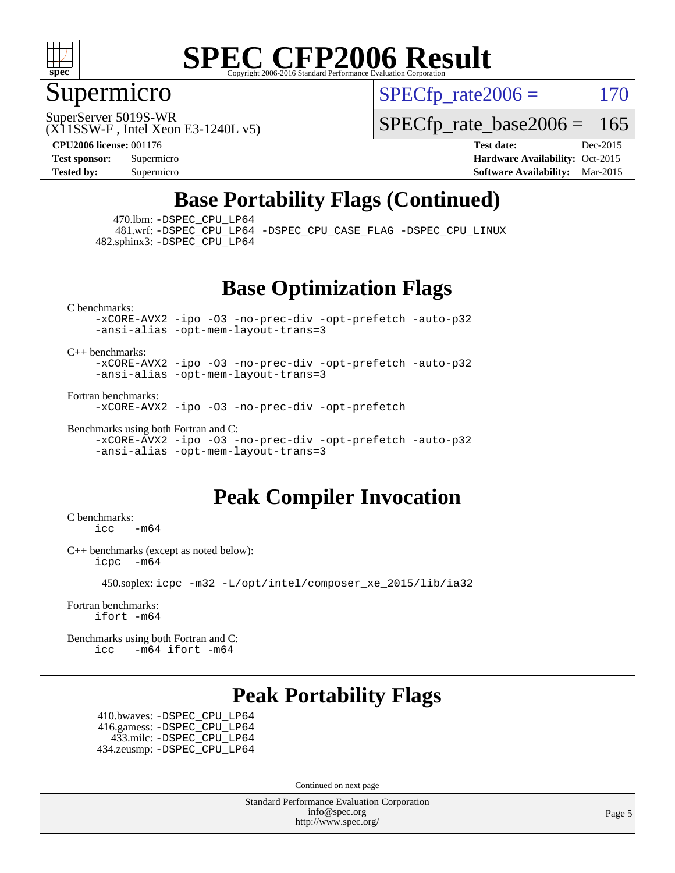

#### Supermicro

 $SPECTp\_rate2006 = 170$ 

SuperServer 5019S-WR

[SPECfp\\_rate\\_base2006 =](http://www.spec.org/auto/cpu2006/Docs/result-fields.html#SPECfpratebase2006) 165

(X11SSW-F , Intel Xeon E3-1240L v5)

**[CPU2006 license:](http://www.spec.org/auto/cpu2006/Docs/result-fields.html#CPU2006license)** 001176 **[Test date:](http://www.spec.org/auto/cpu2006/Docs/result-fields.html#Testdate)** Dec-2015 **[Test sponsor:](http://www.spec.org/auto/cpu2006/Docs/result-fields.html#Testsponsor)** Supermicro Supermicro **[Hardware Availability:](http://www.spec.org/auto/cpu2006/Docs/result-fields.html#HardwareAvailability)** Oct-2015 **[Tested by:](http://www.spec.org/auto/cpu2006/Docs/result-fields.html#Testedby)** Supermicro **[Software Availability:](http://www.spec.org/auto/cpu2006/Docs/result-fields.html#SoftwareAvailability)** Mar-2015

### **[Base Portability Flags \(Continued\)](http://www.spec.org/auto/cpu2006/Docs/result-fields.html#BasePortabilityFlags)**

470.lbm: [-DSPEC\\_CPU\\_LP64](http://www.spec.org/cpu2006/results/res2016q1/cpu2006-20151223-38502.flags.html#suite_basePORTABILITY470_lbm_DSPEC_CPU_LP64)

 481.wrf: [-DSPEC\\_CPU\\_LP64](http://www.spec.org/cpu2006/results/res2016q1/cpu2006-20151223-38502.flags.html#suite_basePORTABILITY481_wrf_DSPEC_CPU_LP64) [-DSPEC\\_CPU\\_CASE\\_FLAG](http://www.spec.org/cpu2006/results/res2016q1/cpu2006-20151223-38502.flags.html#b481.wrf_baseCPORTABILITY_DSPEC_CPU_CASE_FLAG) [-DSPEC\\_CPU\\_LINUX](http://www.spec.org/cpu2006/results/res2016q1/cpu2006-20151223-38502.flags.html#b481.wrf_baseCPORTABILITY_DSPEC_CPU_LINUX) 482.sphinx3: [-DSPEC\\_CPU\\_LP64](http://www.spec.org/cpu2006/results/res2016q1/cpu2006-20151223-38502.flags.html#suite_basePORTABILITY482_sphinx3_DSPEC_CPU_LP64)

**[Base Optimization Flags](http://www.spec.org/auto/cpu2006/Docs/result-fields.html#BaseOptimizationFlags)**

[C benchmarks](http://www.spec.org/auto/cpu2006/Docs/result-fields.html#Cbenchmarks):

[-xCORE-AVX2](http://www.spec.org/cpu2006/results/res2016q1/cpu2006-20151223-38502.flags.html#user_CCbase_f-xAVX2_5f5fc0cbe2c9f62c816d3e45806c70d7) [-ipo](http://www.spec.org/cpu2006/results/res2016q1/cpu2006-20151223-38502.flags.html#user_CCbase_f-ipo) [-O3](http://www.spec.org/cpu2006/results/res2016q1/cpu2006-20151223-38502.flags.html#user_CCbase_f-O3) [-no-prec-div](http://www.spec.org/cpu2006/results/res2016q1/cpu2006-20151223-38502.flags.html#user_CCbase_f-no-prec-div) [-opt-prefetch](http://www.spec.org/cpu2006/results/res2016q1/cpu2006-20151223-38502.flags.html#user_CCbase_f-opt-prefetch) [-auto-p32](http://www.spec.org/cpu2006/results/res2016q1/cpu2006-20151223-38502.flags.html#user_CCbase_f-auto-p32) [-ansi-alias](http://www.spec.org/cpu2006/results/res2016q1/cpu2006-20151223-38502.flags.html#user_CCbase_f-ansi-alias) [-opt-mem-layout-trans=3](http://www.spec.org/cpu2006/results/res2016q1/cpu2006-20151223-38502.flags.html#user_CCbase_f-opt-mem-layout-trans_a7b82ad4bd7abf52556d4961a2ae94d5)

[C++ benchmarks:](http://www.spec.org/auto/cpu2006/Docs/result-fields.html#CXXbenchmarks)

[-xCORE-AVX2](http://www.spec.org/cpu2006/results/res2016q1/cpu2006-20151223-38502.flags.html#user_CXXbase_f-xAVX2_5f5fc0cbe2c9f62c816d3e45806c70d7) [-ipo](http://www.spec.org/cpu2006/results/res2016q1/cpu2006-20151223-38502.flags.html#user_CXXbase_f-ipo) [-O3](http://www.spec.org/cpu2006/results/res2016q1/cpu2006-20151223-38502.flags.html#user_CXXbase_f-O3) [-no-prec-div](http://www.spec.org/cpu2006/results/res2016q1/cpu2006-20151223-38502.flags.html#user_CXXbase_f-no-prec-div) [-opt-prefetch](http://www.spec.org/cpu2006/results/res2016q1/cpu2006-20151223-38502.flags.html#user_CXXbase_f-opt-prefetch) [-auto-p32](http://www.spec.org/cpu2006/results/res2016q1/cpu2006-20151223-38502.flags.html#user_CXXbase_f-auto-p32) [-ansi-alias](http://www.spec.org/cpu2006/results/res2016q1/cpu2006-20151223-38502.flags.html#user_CXXbase_f-ansi-alias) [-opt-mem-layout-trans=3](http://www.spec.org/cpu2006/results/res2016q1/cpu2006-20151223-38502.flags.html#user_CXXbase_f-opt-mem-layout-trans_a7b82ad4bd7abf52556d4961a2ae94d5)

[Fortran benchmarks](http://www.spec.org/auto/cpu2006/Docs/result-fields.html#Fortranbenchmarks):

[-xCORE-AVX2](http://www.spec.org/cpu2006/results/res2016q1/cpu2006-20151223-38502.flags.html#user_FCbase_f-xAVX2_5f5fc0cbe2c9f62c816d3e45806c70d7) [-ipo](http://www.spec.org/cpu2006/results/res2016q1/cpu2006-20151223-38502.flags.html#user_FCbase_f-ipo) [-O3](http://www.spec.org/cpu2006/results/res2016q1/cpu2006-20151223-38502.flags.html#user_FCbase_f-O3) [-no-prec-div](http://www.spec.org/cpu2006/results/res2016q1/cpu2006-20151223-38502.flags.html#user_FCbase_f-no-prec-div) [-opt-prefetch](http://www.spec.org/cpu2006/results/res2016q1/cpu2006-20151223-38502.flags.html#user_FCbase_f-opt-prefetch)

[Benchmarks using both Fortran and C](http://www.spec.org/auto/cpu2006/Docs/result-fields.html#BenchmarksusingbothFortranandC): [-xCORE-AVX2](http://www.spec.org/cpu2006/results/res2016q1/cpu2006-20151223-38502.flags.html#user_CC_FCbase_f-xAVX2_5f5fc0cbe2c9f62c816d3e45806c70d7) [-ipo](http://www.spec.org/cpu2006/results/res2016q1/cpu2006-20151223-38502.flags.html#user_CC_FCbase_f-ipo) [-O3](http://www.spec.org/cpu2006/results/res2016q1/cpu2006-20151223-38502.flags.html#user_CC_FCbase_f-O3) [-no-prec-div](http://www.spec.org/cpu2006/results/res2016q1/cpu2006-20151223-38502.flags.html#user_CC_FCbase_f-no-prec-div) [-opt-prefetch](http://www.spec.org/cpu2006/results/res2016q1/cpu2006-20151223-38502.flags.html#user_CC_FCbase_f-opt-prefetch) [-auto-p32](http://www.spec.org/cpu2006/results/res2016q1/cpu2006-20151223-38502.flags.html#user_CC_FCbase_f-auto-p32) [-ansi-alias](http://www.spec.org/cpu2006/results/res2016q1/cpu2006-20151223-38502.flags.html#user_CC_FCbase_f-ansi-alias) [-opt-mem-layout-trans=3](http://www.spec.org/cpu2006/results/res2016q1/cpu2006-20151223-38502.flags.html#user_CC_FCbase_f-opt-mem-layout-trans_a7b82ad4bd7abf52556d4961a2ae94d5)

### **[Peak Compiler Invocation](http://www.spec.org/auto/cpu2006/Docs/result-fields.html#PeakCompilerInvocation)**

[C benchmarks](http://www.spec.org/auto/cpu2006/Docs/result-fields.html#Cbenchmarks):  $\text{icc}$  -m64

[C++ benchmarks \(except as noted below\):](http://www.spec.org/auto/cpu2006/Docs/result-fields.html#CXXbenchmarksexceptasnotedbelow) [icpc -m64](http://www.spec.org/cpu2006/results/res2016q1/cpu2006-20151223-38502.flags.html#user_CXXpeak_intel_icpc_64bit_bedb90c1146cab66620883ef4f41a67e)

450.soplex: [icpc -m32 -L/opt/intel/composer\\_xe\\_2015/lib/ia32](http://www.spec.org/cpu2006/results/res2016q1/cpu2006-20151223-38502.flags.html#user_peakCXXLD450_soplex_intel_icpc_c2c99686a1a582c3e0de0b4806b02cea)

[Fortran benchmarks](http://www.spec.org/auto/cpu2006/Docs/result-fields.html#Fortranbenchmarks): [ifort -m64](http://www.spec.org/cpu2006/results/res2016q1/cpu2006-20151223-38502.flags.html#user_FCpeak_intel_ifort_64bit_ee9d0fb25645d0210d97eb0527dcc06e)

[Benchmarks using both Fortran and C](http://www.spec.org/auto/cpu2006/Docs/result-fields.html#BenchmarksusingbothFortranandC): [icc -m64](http://www.spec.org/cpu2006/results/res2016q1/cpu2006-20151223-38502.flags.html#user_CC_FCpeak_intel_icc_64bit_0b7121f5ab7cfabee23d88897260401c) [ifort -m64](http://www.spec.org/cpu2006/results/res2016q1/cpu2006-20151223-38502.flags.html#user_CC_FCpeak_intel_ifort_64bit_ee9d0fb25645d0210d97eb0527dcc06e)

#### **[Peak Portability Flags](http://www.spec.org/auto/cpu2006/Docs/result-fields.html#PeakPortabilityFlags)**

 410.bwaves: [-DSPEC\\_CPU\\_LP64](http://www.spec.org/cpu2006/results/res2016q1/cpu2006-20151223-38502.flags.html#suite_peakPORTABILITY410_bwaves_DSPEC_CPU_LP64) 416.gamess: [-DSPEC\\_CPU\\_LP64](http://www.spec.org/cpu2006/results/res2016q1/cpu2006-20151223-38502.flags.html#suite_peakPORTABILITY416_gamess_DSPEC_CPU_LP64) 433.milc: [-DSPEC\\_CPU\\_LP64](http://www.spec.org/cpu2006/results/res2016q1/cpu2006-20151223-38502.flags.html#suite_peakPORTABILITY433_milc_DSPEC_CPU_LP64) 434.zeusmp: [-DSPEC\\_CPU\\_LP64](http://www.spec.org/cpu2006/results/res2016q1/cpu2006-20151223-38502.flags.html#suite_peakPORTABILITY434_zeusmp_DSPEC_CPU_LP64)

Continued on next page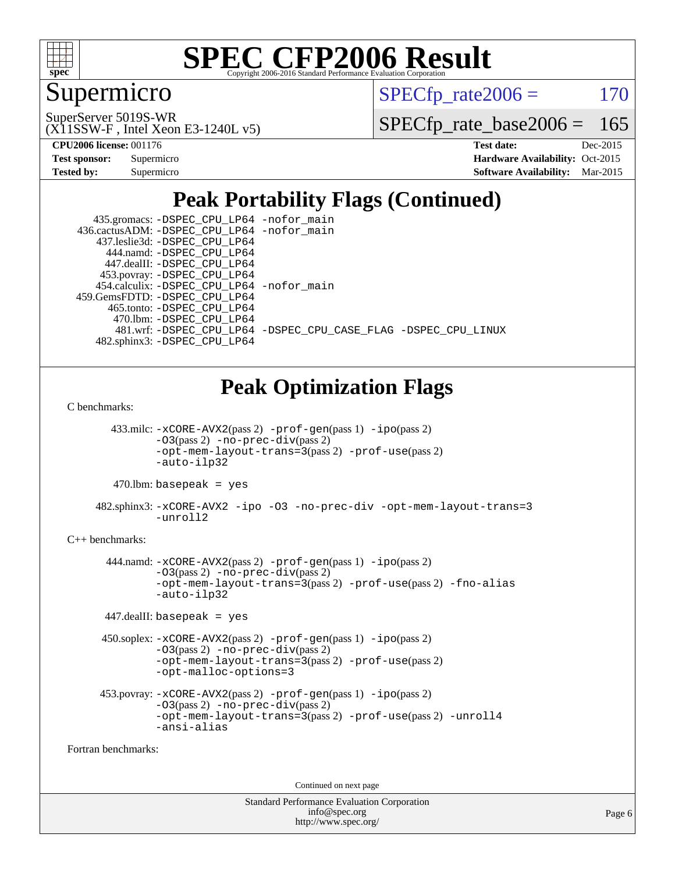

### Supermicro

 $SPECTp\_rate2006 = 170$ 

(X11SSW-F , Intel Xeon E3-1240L v5) SuperServer 5019S-WR

[SPECfp\\_rate\\_base2006 =](http://www.spec.org/auto/cpu2006/Docs/result-fields.html#SPECfpratebase2006) 165

**[CPU2006 license:](http://www.spec.org/auto/cpu2006/Docs/result-fields.html#CPU2006license)** 001176 **[Test date:](http://www.spec.org/auto/cpu2006/Docs/result-fields.html#Testdate)** Dec-2015

| <b>Test sponsor:</b> | Supermicro |
|----------------------|------------|
| <b>Tested by:</b>    | Supermicro |

**[Hardware Availability:](http://www.spec.org/auto/cpu2006/Docs/result-fields.html#HardwareAvailability)** Oct-2015 **[Software Availability:](http://www.spec.org/auto/cpu2006/Docs/result-fields.html#SoftwareAvailability)** Mar-2015

## **[Peak Portability Flags \(Continued\)](http://www.spec.org/auto/cpu2006/Docs/result-fields.html#PeakPortabilityFlags)**

| 435.gromacs: -DSPEC_CPU_LP64 -nofor_main                       |
|----------------------------------------------------------------|
| 436.cactusADM: -DSPEC_CPU_LP64 -nofor main                     |
| 437.leslie3d: -DSPEC CPU LP64                                  |
| 444.namd: - DSPEC CPU LP64                                     |
| 447.dealII: -DSPEC CPU LP64                                    |
| 453.povray: -DSPEC_CPU_LP64                                    |
| 454.calculix: - DSPEC CPU LP64 - nofor main                    |
| 459.GemsFDTD: - DSPEC_CPU_LP64                                 |
| 465.tonto: -DSPEC CPU LP64                                     |
| 470.1bm: -DSPEC CPU LP64                                       |
| 481.wrf: -DSPEC CPU_LP64 -DSPEC_CPU_CASE_FLAG -DSPEC_CPU_LINUX |
| 482.sphinx3: -DSPEC CPU LP64                                   |

### **[Peak Optimization Flags](http://www.spec.org/auto/cpu2006/Docs/result-fields.html#PeakOptimizationFlags)**

[C benchmarks](http://www.spec.org/auto/cpu2006/Docs/result-fields.html#Cbenchmarks):

 433.milc: [-xCORE-AVX2](http://www.spec.org/cpu2006/results/res2016q1/cpu2006-20151223-38502.flags.html#user_peakPASS2_CFLAGSPASS2_LDFLAGS433_milc_f-xAVX2_5f5fc0cbe2c9f62c816d3e45806c70d7)(pass 2) [-prof-gen](http://www.spec.org/cpu2006/results/res2016q1/cpu2006-20151223-38502.flags.html#user_peakPASS1_CFLAGSPASS1_LDFLAGS433_milc_prof_gen_e43856698f6ca7b7e442dfd80e94a8fc)(pass 1) [-ipo](http://www.spec.org/cpu2006/results/res2016q1/cpu2006-20151223-38502.flags.html#user_peakPASS2_CFLAGSPASS2_LDFLAGS433_milc_f-ipo)(pass 2) [-O3](http://www.spec.org/cpu2006/results/res2016q1/cpu2006-20151223-38502.flags.html#user_peakPASS2_CFLAGSPASS2_LDFLAGS433_milc_f-O3)(pass 2) [-no-prec-div](http://www.spec.org/cpu2006/results/res2016q1/cpu2006-20151223-38502.flags.html#user_peakPASS2_CFLAGSPASS2_LDFLAGS433_milc_f-no-prec-div)(pass 2) [-opt-mem-layout-trans=3](http://www.spec.org/cpu2006/results/res2016q1/cpu2006-20151223-38502.flags.html#user_peakPASS2_CFLAGS433_milc_f-opt-mem-layout-trans_a7b82ad4bd7abf52556d4961a2ae94d5)(pass 2) [-prof-use](http://www.spec.org/cpu2006/results/res2016q1/cpu2006-20151223-38502.flags.html#user_peakPASS2_CFLAGSPASS2_LDFLAGS433_milc_prof_use_bccf7792157ff70d64e32fe3e1250b55)(pass 2) [-auto-ilp32](http://www.spec.org/cpu2006/results/res2016q1/cpu2006-20151223-38502.flags.html#user_peakCOPTIMIZE433_milc_f-auto-ilp32)

 $470.$ lbm: basepeak = yes

 482.sphinx3: [-xCORE-AVX2](http://www.spec.org/cpu2006/results/res2016q1/cpu2006-20151223-38502.flags.html#user_peakOPTIMIZE482_sphinx3_f-xAVX2_5f5fc0cbe2c9f62c816d3e45806c70d7) [-ipo](http://www.spec.org/cpu2006/results/res2016q1/cpu2006-20151223-38502.flags.html#user_peakOPTIMIZE482_sphinx3_f-ipo) [-O3](http://www.spec.org/cpu2006/results/res2016q1/cpu2006-20151223-38502.flags.html#user_peakOPTIMIZE482_sphinx3_f-O3) [-no-prec-div](http://www.spec.org/cpu2006/results/res2016q1/cpu2006-20151223-38502.flags.html#user_peakOPTIMIZE482_sphinx3_f-no-prec-div) [-opt-mem-layout-trans=3](http://www.spec.org/cpu2006/results/res2016q1/cpu2006-20151223-38502.flags.html#user_peakOPTIMIZE482_sphinx3_f-opt-mem-layout-trans_a7b82ad4bd7abf52556d4961a2ae94d5) [-unroll2](http://www.spec.org/cpu2006/results/res2016q1/cpu2006-20151223-38502.flags.html#user_peakCOPTIMIZE482_sphinx3_f-unroll_784dae83bebfb236979b41d2422d7ec2)

#### [C++ benchmarks:](http://www.spec.org/auto/cpu2006/Docs/result-fields.html#CXXbenchmarks)

 444.namd: [-xCORE-AVX2](http://www.spec.org/cpu2006/results/res2016q1/cpu2006-20151223-38502.flags.html#user_peakPASS2_CXXFLAGSPASS2_LDFLAGS444_namd_f-xAVX2_5f5fc0cbe2c9f62c816d3e45806c70d7)(pass 2) [-prof-gen](http://www.spec.org/cpu2006/results/res2016q1/cpu2006-20151223-38502.flags.html#user_peakPASS1_CXXFLAGSPASS1_LDFLAGS444_namd_prof_gen_e43856698f6ca7b7e442dfd80e94a8fc)(pass 1) [-ipo](http://www.spec.org/cpu2006/results/res2016q1/cpu2006-20151223-38502.flags.html#user_peakPASS2_CXXFLAGSPASS2_LDFLAGS444_namd_f-ipo)(pass 2)  $-03$ (pass 2)  $-$ no-prec-div(pass 2) [-opt-mem-layout-trans=3](http://www.spec.org/cpu2006/results/res2016q1/cpu2006-20151223-38502.flags.html#user_peakPASS2_CXXFLAGS444_namd_f-opt-mem-layout-trans_a7b82ad4bd7abf52556d4961a2ae94d5)(pass 2) [-prof-use](http://www.spec.org/cpu2006/results/res2016q1/cpu2006-20151223-38502.flags.html#user_peakPASS2_CXXFLAGSPASS2_LDFLAGS444_namd_prof_use_bccf7792157ff70d64e32fe3e1250b55)(pass 2) [-fno-alias](http://www.spec.org/cpu2006/results/res2016q1/cpu2006-20151223-38502.flags.html#user_peakCXXOPTIMIZE444_namd_f-no-alias_694e77f6c5a51e658e82ccff53a9e63a) [-auto-ilp32](http://www.spec.org/cpu2006/results/res2016q1/cpu2006-20151223-38502.flags.html#user_peakCXXOPTIMIZE444_namd_f-auto-ilp32)

447.dealII: basepeak = yes

```
 450.soplex: -xCORE-AVX2(pass 2) -prof-gen(pass 1) -ipo(pass 2)
-O3(pass 2) -no-prec-div(pass 2)
-opt-mem-layout-trans=3(pass 2) -prof-use(pass 2)
-opt-malloc-options=3
```

```
 453.povray: -xCORE-AVX2(pass 2) -prof-gen(pass 1) -ipo(pass 2)
 -O3(pass 2) -no-prec-div(pass 2)
 -opt-mem-layout-trans=3(pass 2) -prof-use(pass 2) -unroll4
 -ansi-alias
```
[Fortran benchmarks](http://www.spec.org/auto/cpu2006/Docs/result-fields.html#Fortranbenchmarks):

Continued on next page

| <b>Standard Performance Evaluation Corporation</b> |
|----------------------------------------------------|
| info@spec.org                                      |
| http://www.spec.org/                               |